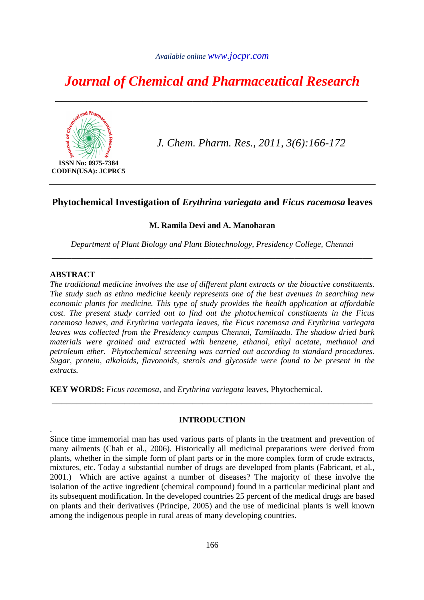# *Journal of Chemical and Pharmaceutical Research*

*\_\_\_\_\_\_\_\_\_\_\_\_\_\_\_\_\_\_\_\_\_\_\_\_\_\_\_\_\_\_\_\_\_\_\_\_\_\_\_\_\_\_\_\_\_\_\_\_\_\_* 



*J. Chem. Pharm. Res., 2011, 3(6):166-172*

# **Phytochemical Investigation of** *Erythrina variegata* **and** *Ficus racemosa* **leaves**

# **M. Ramila Devi and A. Manoharan**

*Department of Plant Biology and Plant Biotechnology, Presidency College, Chennai*  \_\_\_\_\_\_\_\_\_\_\_\_\_\_\_\_\_\_\_\_\_\_\_\_\_\_\_\_\_\_\_\_\_\_\_\_\_\_\_\_\_\_\_\_\_\_\_\_\_\_\_\_\_\_\_\_\_\_\_\_\_\_\_\_\_\_

# **ABSTRACT**

.

*The traditional medicine involves the use of different plant extracts or the bioactive constituents. The study such as ethno medicine keenly represents one of the best avenues in searching new economic plants for medicine. This type of study provides the health application at affordable cost. The present study carried out to find out the photochemical constituents in the Ficus racemosa leaves, and Erythrina variegata leaves, the Ficus racemosa and Erythrina variegata leaves was collected from the Presidency campus Chennai, Tamilnadu. The shadow dried bark materials were grained and extracted with benzene, ethanol, ethyl acetate, methanol and petroleum ether. Phytochemical screening was carried out according to standard procedures. Sugar, protein, alkaloids, flavonoids, sterols and glycoside were found to be present in the extracts.* 

**KEY WORDS:** *Ficus racemosa,* and *Erythrina variegata* leaves, Phytochemical.

# **INTRODUCTION**

\_\_\_\_\_\_\_\_\_\_\_\_\_\_\_\_\_\_\_\_\_\_\_\_\_\_\_\_\_\_\_\_\_\_\_\_\_\_\_\_\_\_\_\_\_\_\_\_\_\_\_\_\_\_\_\_\_\_\_\_\_\_\_\_\_\_

Since time immemorial man has used various parts of plants in the treatment and prevention of many ailments (Chah et al*.*, 2006). Historically all medicinal preparations were derived from plants, whether in the simple form of plant parts or in the more complex form of crude extracts, mixtures, etc. Today a substantial number of drugs are developed from plants (Fabricant, et al*.*, 2001.) Which are active against a number of diseases? The majority of these involve the isolation of the active ingredient (chemical compound) found in a particular medicinal plant and its subsequent modification. In the developed countries 25 percent of the medical drugs are based on plants and their derivatives (Principe, 2005) and the use of medicinal plants is well known among the indigenous people in rural areas of many developing countries.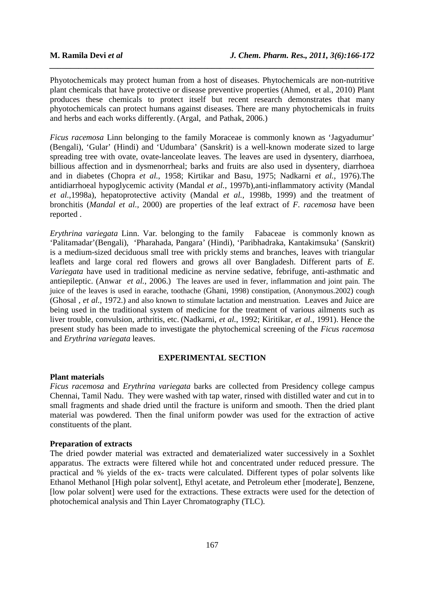Phyotochemicals may protect human from a host of diseases. Phytochemicals are non-nutritive plant chemicals that have protective or disease preventive properties (Ahmed, et al*.*, 2010) Plant produces these chemicals to protect itself but recent research demonstrates that many phyotochemicals can protect humans against diseases. There are many phytochemicals in fruits and herbs and each works differently. (Argal, and Pathak, 2006.)

*\_\_\_\_\_\_\_\_\_\_\_\_\_\_\_\_\_\_\_\_\_\_\_\_\_\_\_\_\_\_\_\_\_\_\_\_\_\_\_\_\_\_\_\_\_\_\_\_\_\_\_\_\_\_\_\_\_\_\_\_\_\_\_\_\_\_\_\_\_\_\_\_\_\_\_\_\_\_*

*Ficus racemosa* Linn belonging to the family Moraceae is commonly known as 'Jagyadumur' (Bengali), 'Gular' (Hindi) and 'Udumbara' (Sanskrit) is a well-known moderate sized to large spreading tree with ovate, ovate-lanceolate leaves. The leaves are used in dysentery, diarrhoea, billious affection and in dysmenorrheal; barks and fruits are also used in dysentery, diarrhoea and in diabetes (Chopra *et al.*, 1958; Kirtikar and Basu, 1975; Nadkarni *et al.*, 1976).The antidiarrhoeal hypoglycemic activity (Mandal *et al.*, 1997b),anti-inflammatory activity (Mandal *et al.*,1998a), hepatoprotective activity (Mandal *et al.*, 1998b, 1999) and the treatment of bronchitis (*Mandal et al.,* 2000) are properties of the leaf extract of *F. racemosa* have been reported .

*Erythrina variegata* Linn. Var*.* belonging to the family Fabaceae is commonly known as 'Palitamadar'(Bengali), 'Pharahada, Pangara' (Hindi), 'Paribhadraka, Kantakimsuka' (Sanskrit) is a medium-sized deciduous small tree with prickly stems and branches, leaves with triangular leaflets and large coral red flowers and grows all over Bangladesh. Different parts of *E. Variegata* have used in traditional medicine as nervine sedative, febrifuge, anti-asthmatic and antiepileptic. (Anwar *et al.*, 2006.) The leaves are used in fever, inflammation and joint pain. The juice of the leaves is used in earache, toothache (Ghani, 1998) constipation, (Anonymous.2002) cough (Ghosal , *et al.*, 1972.) and also known to stimulate lactation and menstruation. Leaves and Juice are being used in the traditional system of medicine for the treatment of various ailments such as liver trouble, convulsion, arthritis, etc. (Nadkarni, *et al.*, 1992; Kiritikar, *et al.*, 1991). Hence the present study has been made to investigate the phytochemical screening of the *Ficus racemosa* and *Erythrina variegata* leaves.

# **EXPERIMENTAL SECTION**

# **Plant materials**

*Ficus racemosa* and *Erythrina variegata* barks are collected from Presidency college campus Chennai, Tamil Nadu. They were washed with tap water, rinsed with distilled water and cut in to small fragments and shade dried until the fracture is uniform and smooth. Then the dried plant material was powdered. Then the final uniform powder was used for the extraction of active constituents of the plant.

#### **Preparation of extracts**

The dried powder material was extracted and dematerialized water successively in a Soxhlet apparatus. The extracts were filtered while hot and concentrated under reduced pressure. The practical and % yields of the ex- tracts were calculated. Different types of polar solvents like Ethanol Methanol [High polar solvent], Ethyl acetate, and Petroleum ether [moderate], Benzene, [low polar solvent] were used for the extractions. These extracts were used for the detection of photochemical analysis and Thin Layer Chromatography (TLC).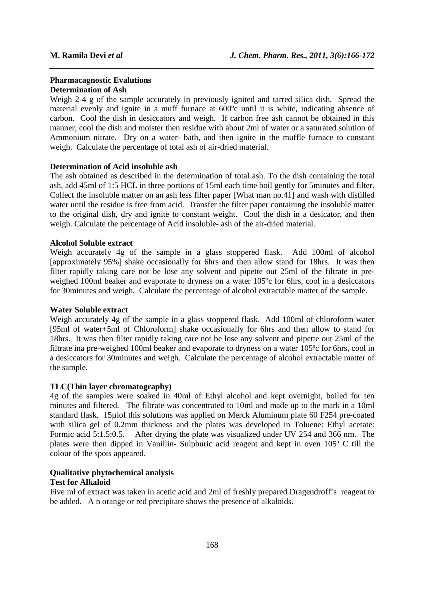# **Pharmacagnostic Evalutions Determination of Ash**

Weigh 2-4 g of the sample accurately in previously ignited and tarred silica dish. Spread the material evenly and ignite in a muff furnace at 600ºc until it is white, indicating absence of carbon. Cool the dish in desiccators and weigh. If carbon free ash cannot be obtained in this manner, cool the dish and moister then residue with about 2ml of water or a saturated solution of Ammonium nitrate. Dry on a water- bath, and then ignite in the muffle furnace to constant weigh. Calculate the percentage of total ash of air-dried material.

*\_\_\_\_\_\_\_\_\_\_\_\_\_\_\_\_\_\_\_\_\_\_\_\_\_\_\_\_\_\_\_\_\_\_\_\_\_\_\_\_\_\_\_\_\_\_\_\_\_\_\_\_\_\_\_\_\_\_\_\_\_\_\_\_\_\_\_\_\_\_\_\_\_\_\_\_\_\_*

# **Determination of Acid insoluble ash**

The ash obtained as described in the determination of total ash. To the dish containing the total ash, add 45ml of 1:5 HCL in three portions of 15ml each time boil gently for 5minutes and filter. Collect the insoluble matter on an ash less filter paper [What man no.41] and wash with distilled water until the residue is free from acid. Transfer the filter paper containing the insoluble matter to the original dish, dry and ignite to constant weight. Cool the dish in a desicator, and then weigh. Calculate the percentage of Acid insoluble- ash of the air-dried material.

# **Alcohol Soluble extract**

Weigh accurately 4g of the sample in a glass stoppered flask. Add 100ml of alcohol [approximately 95%] shake occasionally for 6hrs and then allow stand for 18hrs. It was then filter rapidly taking care not be lose any solvent and pipette out 25ml of the filtrate in preweighed 100ml beaker and evaporate to dryness on a water 105<sup>o</sup>c for 6hrs, cool in a desiccators for 30minutes and weigh. Calculate the percentage of alcohol extractable matter of the sample.

# **Water Soluble extract**

Weigh accurately 4g of the sample in a glass stoppered flask. Add 100ml of chloroform water [95ml of water+5ml of Chloroform] shake occasionally for 6hrs and then allow to stand for 18hrs. It was then filter rapidly taking care not be lose any solvent and pipette out 25ml of the filtrate ina pre-weighed 100ml beaker and evaporate to dryness on a water 105ºc for 6hrs, cool in a desiccators for 30minutes and weigh. Calculate the percentage of alcohol extractable matter of the sample.

# **TLC(Thin layer chromatography)**

4g of the samples were soaked in 40ml of Ethyl alcohol and kept overnight, boiled for ten minutes and filtered. The filtrate was concentrated to 10ml and made up to the mark in a 10ml standard flask. 15µlof this solutions was applied on Merck Aluminum plate 60 F254 pre-coated with silica gel of 0.2mm thickness and the plates was developed in Toluene: Ethyl acetate: Formic acid 5:1.5:0.5. After drying the plate was visualized under UV 254 and 366 nm. The plates were then dipped in Vanillin- Sulphuric acid reagent and kept in oven 105º C till the colour of the spots appeared.

# **Qualitative phytochemical analysis**

# **Test for Alkaloid**

Five ml of extract was taken in acetic acid and 2ml of freshly prepared Dragendroff's reagent to be added. A n orange or red precipitate shows the presence of alkaloids.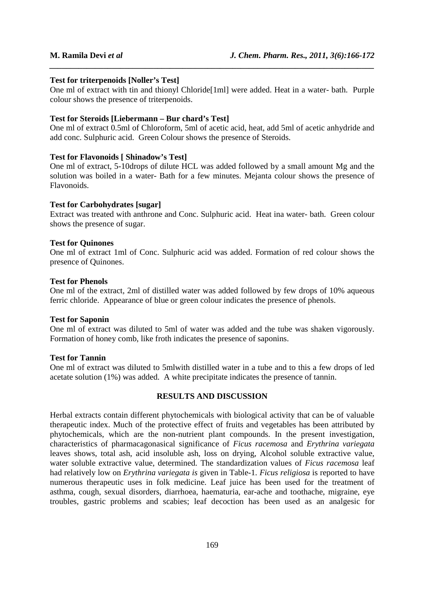## **Test for triterpenoids [Noller's Test]**

One ml of extract with tin and thionyl Chloride[1ml] were added. Heat in a water- bath. Purple colour shows the presence of triterpenoids.

*\_\_\_\_\_\_\_\_\_\_\_\_\_\_\_\_\_\_\_\_\_\_\_\_\_\_\_\_\_\_\_\_\_\_\_\_\_\_\_\_\_\_\_\_\_\_\_\_\_\_\_\_\_\_\_\_\_\_\_\_\_\_\_\_\_\_\_\_\_\_\_\_\_\_\_\_\_\_*

# **Test for Steroids [Liebermann – Bur chard's Test]**

One ml of extract 0.5ml of Chloroform, 5ml of acetic acid, heat, add 5ml of acetic anhydride and add conc. Sulphuric acid. Green Colour shows the presence of Steroids.

## **Test for Flavonoids [ Shinadow's Test]**

One ml of extract, 5-10drops of dilute HCL was added followed by a small amount Mg and the solution was boiled in a water- Bath for a few minutes. Mejanta colour shows the presence of Flavonoids.

# **Test for Carbohydrates [sugar]**

Extract was treated with anthrone and Conc. Sulphuric acid. Heat ina water- bath. Green colour shows the presence of sugar.

## **Test for Quinones**

One ml of extract 1ml of Conc. Sulphuric acid was added. Formation of red colour shows the presence of Quinones.

# **Test for Phenols**

One ml of the extract, 2ml of distilled water was added followed by few drops of 10% aqueous ferric chloride. Appearance of blue or green colour indicates the presence of phenols.

#### **Test for Saponin**

One ml of extract was diluted to 5ml of water was added and the tube was shaken vigorously. Formation of honey comb, like froth indicates the presence of saponins.

# **Test for Tannin**

One ml of extract was diluted to 5mlwith distilled water in a tube and to this a few drops of led acetate solution (1%) was added. A white precipitate indicates the presence of tannin.

# **RESULTS AND DISCUSSION**

Herbal extracts contain different phytochemicals with biological activity that can be of valuable therapeutic index. Much of the protective effect of fruits and vegetables has been attributed by phytochemicals, which are the non-nutrient plant compounds. In the present investigation, characteristics of pharmacagonasical significance of *Ficus racemosa* and *Erythrina variegata*  leaves shows, total ash, acid insoluble ash, loss on drying, Alcohol soluble extractive value, water soluble extractive value, determined. The standardization values of *Ficus racemosa* leaf had relatively low on *Erythrina variegata is* given in Table-1. *Ficus religiosa* is reported to have numerous therapeutic uses in folk medicine. Leaf juice has been used for the treatment of asthma, cough, sexual disorders, diarrhoea, haematuria, ear-ache and toothache, migraine, eye troubles, gastric problems and scabies; leaf decoction has been used as an analgesic for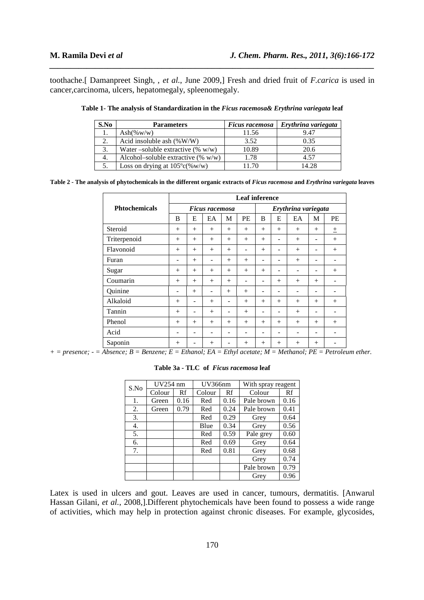toothache.[ Damanpreet Singh, , *et al.*, June 2009,] Fresh and dried fruit of *F.carica* is used in cancer,carcinoma, ulcers, hepatomegaly, spleenomegaly.

*\_\_\_\_\_\_\_\_\_\_\_\_\_\_\_\_\_\_\_\_\_\_\_\_\_\_\_\_\_\_\_\_\_\_\_\_\_\_\_\_\_\_\_\_\_\_\_\_\_\_\_\_\_\_\_\_\_\_\_\_\_\_\_\_\_\_\_\_\_\_\_\_\_\_\_\_\_\_*

| S.No | <b>Parameters</b>                       | Ficus racemosa | Erythrina variegata |
|------|-----------------------------------------|----------------|---------------------|
|      | $\text{Ash}(\% \text{w/w})$             | 11.56          | 9.47                |
|      | Acid insoluble ash $(\%W/W)$            | 3.52           | 0.35                |
| 3.   | Water –soluble extractive $(\% w/w)$    | 10.89          | 20.6                |
| 4.   | Alcohol-soluble extractive $(\% w/w)$   | 1.78           | 4.57                |
|      | Loss on drying at $105^{\circ}c$ (%w/w) | 1170           | 14.28               |

**Table 1- The analysis of Standardization in the** *Ficus racemosa& Erythrina variegata* **leaf** 

**Table 2 - The analysis of phytochemicals in the different organic extracts of** *Ficus racemosa* **and** *Erythrina variegata* **leaves** 

|                      | <b>Leaf inference</b> |        |     |     |                     |     |     |     |     |     |
|----------------------|-----------------------|--------|-----|-----|---------------------|-----|-----|-----|-----|-----|
| <b>Phtochemicals</b> | <b>Ficus racemosa</b> |        |     |     | Erythrina variegata |     |     |     |     |     |
|                      | B                     | E      | EA  | M   | PE                  | B   | E   | EA  | M   | PE  |
| Steroid              | $+$                   | $+$    | $+$ | $+$ | $+$                 | $+$ | $+$ | $+$ | $+$ | 土   |
| Triterpenoid         | $+$                   | $+$    | $+$ | $+$ | $+$                 | $+$ | ۰   | $+$ | -   | $+$ |
| Flavonoid            | $+$                   | $+$    | $+$ | $+$ |                     | $+$ |     | $+$ | ۰   | $+$ |
| Furan                |                       | $^{+}$ | ۰   | $+$ | $+$                 |     |     | $+$ | ۰   |     |
| Sugar                | $+$                   | $+$    | $+$ | $+$ | $+$                 | $+$ | ۰   |     | ۰   | $+$ |
| Coumarin             | $+$                   | $+$    | $+$ | $+$ |                     | ۰   | $+$ | $+$ | $+$ |     |
| Quinine              | ۰                     | $+$    | ۰   | $+$ | $+$                 |     | ۰   |     | -   |     |
| Alkaloid             | $+$                   | ۰      | $+$ | ۰   | $+$                 | $+$ | $+$ | $+$ | $+$ | $+$ |
| Tannin               | $+$                   |        | $+$ |     | $+$                 |     | -   | $+$ | -   |     |
| Phenol               | $+$                   | $+$    | $+$ | $+$ | $+$                 | $+$ | $+$ | $+$ | $+$ | $+$ |
| Acid                 | -                     |        | ۰   |     |                     | -   |     |     | -   |     |
| Saponin              | $+$                   | -      | $+$ |     | $+$                 | $+$ | $+$ | $+$ | $+$ |     |

*+ = presence; - = Absence; B = Benzene; E = Ethanol; EA = Ethyl acetate; M = Methanol; PE = Petroleum ether.* 

| S.No | UV254 nm |      | UV366nm |      | With spray reagent |      |
|------|----------|------|---------|------|--------------------|------|
|      | Colour   | Rf   | Colour  | Rf   | Colour             | Rf   |
| 1.   | Green    | 0.16 | Red     | 0.16 | Pale brown         | 0.16 |
| 2.   | Green    | 0.79 | Red     | 0.24 | Pale brown         | 0.41 |
| 3.   |          |      | Red     | 0.29 | Grey               | 0.64 |
| 4.   |          |      | Blue    | 0.34 | Grey               | 0.56 |
| 5.   |          |      | Red     | 0.59 | Pale grey          | 0.60 |
| 6.   |          |      | Red     | 0.69 | Grey               | 0.64 |
| 7.   |          |      | Red     | 0.81 | Grey               | 0.68 |
|      |          |      |         |      | Grey               | 0.74 |
|      |          |      |         |      | Pale brown         | 0.79 |
|      |          |      |         |      | Grey               | 0.96 |

**Table 3a - TLC of** *Ficus racemosa* **leaf** 

Latex is used in ulcers and gout. Leaves are used in cancer, tumours, dermatitis. [Anwarul Hassan Gilani, *et al.*, 2008,].Different phytochemicals have been found to possess a wide range of activities, which may help in protection against chronic diseases. For example, glycosides,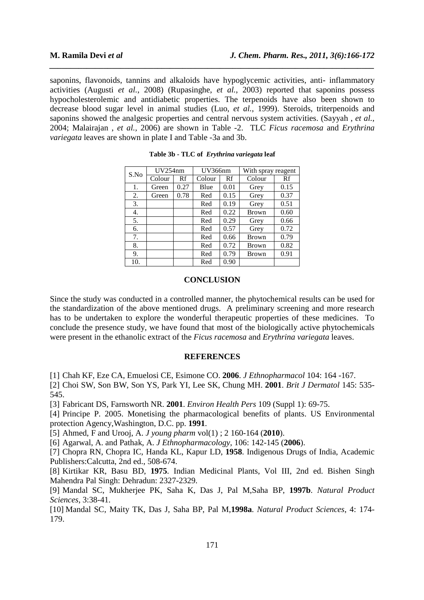saponins, flavonoids, tannins and alkaloids have hypoglycemic activities, anti- inflammatory activities (Augusti *et al.*, 2008) (Rupasinghe, *et al.*, 2003) reported that saponins possess hypocholesterolemic and antidiabetic properties. The terpenoids have also been shown to decrease blood sugar level in animal studies (Luo, *et al.*, 1999). Steroids, triterpenoids and saponins showed the analgesic properties and central nervous system activities. (Sayyah , *et al.*, 2004; Malairajan , *et al.,* 2006) are shown in Table -2. TLC *Ficus racemosa* and *Erythrina variegata* leaves are shown in plate I and Table -3a and 3b.

*\_\_\_\_\_\_\_\_\_\_\_\_\_\_\_\_\_\_\_\_\_\_\_\_\_\_\_\_\_\_\_\_\_\_\_\_\_\_\_\_\_\_\_\_\_\_\_\_\_\_\_\_\_\_\_\_\_\_\_\_\_\_\_\_\_\_\_\_\_\_\_\_\_\_\_\_\_\_*

| S.No | UV254nm |      | UV366nm |      | With spray reagent |      |
|------|---------|------|---------|------|--------------------|------|
|      | Colour  | Rf   | Colour  | Rf   | Colour             | Rf   |
| 1.   | Green   | 0.27 | Blue    | 0.01 | Grey               | 0.15 |
| 2.   | Green   | 0.78 | Red     | 0.15 | Grey               | 0.37 |
| 3.   |         |      | Red     | 0.19 | Grey               | 0.51 |
| 4.   |         |      | Red     | 0.22 | <b>Brown</b>       | 0.60 |
| 5.   |         |      | Red     | 0.29 | Grey               | 0.66 |
| 6.   |         |      | Red     | 0.57 | Grey               | 0.72 |
| 7.   |         |      | Red     | 0.66 | <b>Brown</b>       | 0.79 |
| 8.   |         |      | Red     | 0.72 | <b>Brown</b>       | 0.82 |
| 9.   |         |      | Red     | 0.79 | <b>Brown</b>       | 0.91 |
| 10.  |         |      | Red     | 0.90 |                    |      |

|  |  |  |  | Table 3b - TLC of Erythrina variegata leaf |
|--|--|--|--|--------------------------------------------|
|--|--|--|--|--------------------------------------------|

## **CONCLUSION**

Since the study was conducted in a controlled manner, the phytochemical results can be used for the standardization of the above mentioned drugs. A preliminary screening and more research has to be undertaken to explore the wonderful therapeutic properties of these medicines. To conclude the presence study, we have found that most of the biologically active phytochemicals were present in the ethanolic extract of the *Ficus racemosa* and *Erythrina variegata* leaves.

### **REFERENCES**

[1] Chah KF, Eze CA, Emuelosi CE, Esimone CO. **2006**. *J Ethnopharmacol* 104: 164 -167.

[2] Choi SW, Son BW, Son YS, Park YI, Lee SK, Chung MH. **2001**. *Brit J Dermatol* 145: 535- 545.

[3] Fabricant DS, Farnsworth NR. **2001**. *Environ Health Pers* 109 (Suppl 1): 69-75.

[4] Principe P. 2005. Monetising the pharmacological benefits of plants. US Environmental protection Agency,Washington, D.C. pp. **1991**.

[5] Ahmed, F and Urooj, A. *J young pharm* vol(1) ; 2 160-164 (**2010**).

[6] Agarwal, A. and Pathak, A. *J Ethnopharmacology*, 106: 142-145 (**2006**).

[7] Chopra RN, Chopra IC, Handa KL, Kapur LD, **1958**. Indigenous Drugs of India, Academic Publishers:Calcutta, 2nd ed., 508-674.

[8] Kirtikar KR, Basu BD, **1975**. Indian Medicinal Plants, Vol III, 2nd ed. Bishen Singh Mahendra Pal Singh: Dehradun: 2327-2329.

[9] Mandal SC, Mukherjee PK, Saha K, Das J, Pal M,Saha BP, **1997b**. *Natural Product Sciences*, 3:38-41.

[10] Mandal SC, Maity TK, Das J, Saha BP, Pal M,**1998a**. *Natural Product Sciences*, 4: 174- 179.